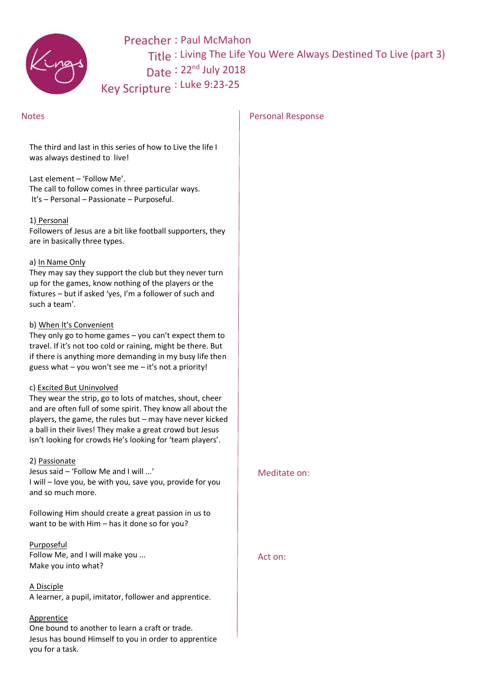

Preacher : Paul McMahon Title : Living The Life You Were Always Destined To Live (part 3) Date: 22<sup>nd</sup> July 2018 Key Scripture : Luke 9:23-25

The third and last in this series of how to Live the life I was always destined to live!

Last element – 'Follow Me'. The call to follow comes in three particular ways. It's – Personal – Passionate – Purposeful.

#### 1) Personal

Followers of Jesus are a bit like football supporters, they are in basically three types.

#### a) In Name Only

They may say they support the club but they never turn up for the games, know nothing of the players or the fixtures – but if asked 'yes, I'm a follower of such and such a team'.

#### b) When It's Convenient

They only go to home games – you can't expect them to travel. If it's not too cold or raining, might be there. But if there is anything more demanding in my busy life then guess what  $-$  you won't see me  $-$  it's not a priority!

### c) Excited But Uninvolved

They wear the strip, go to lots of matches, shout, cheer and are often full of some spirit. They know all about the players, the game, the rules but – may have never kicked a ball in their lives! They make a great crowd but Jesus isn't looking for crowds He's looking for 'team players'.

#### 2) Passionate

Jesus said – 'Follow Me and I will ...' I will – love you, be with you, save you, provide for you and so much more.

Following Him should create a great passion in us to want to be with Him – has it done so for you?

Purposeful Follow Me, and I will make you ...

Make you into what?

# A Disciple

A learner, a pupil, imitator, follower and apprentice.

# **Apprentice**

One bound to another to learn a craft or trade. Jesus has bound Himself to you in order to apprentice you for a task.

# Notes **Personal Response**

Meditate on:

# Act on: